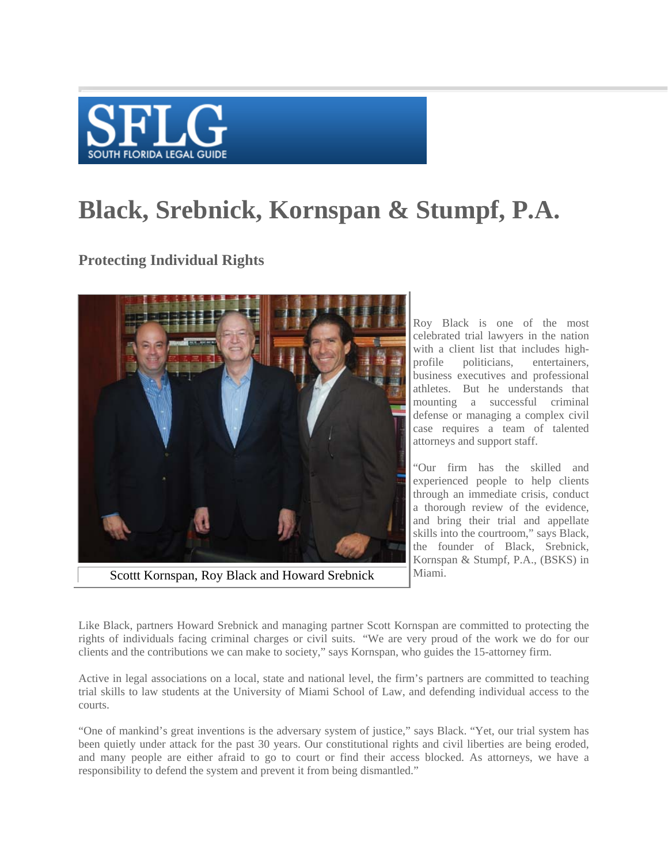

## **Black, Srebnick, Kornspan & Stumpf, P.A.**

**Protecting Individual Rights**



Roy Black is one of the most celebrated trial lawyers in the nation with a client list that includes highprofile politicians, entertainers, business executives and professional athletes. But he understands that mounting a successful criminal defense or managing a complex civil case requires a team of talented attorneys and support staff.

"Our firm has the skilled and experienced people to help clients through an immediate crisis, conduct a thorough review of the evidence, and bring their trial and appellate skills into the courtroom," says Black, the founder of Black, Srebnick, Kornspan & Stumpf, P.A., (BSKS) in Miami.

Like Black, partners Howard Srebnick and managing partner Scott Kornspan are committed to protecting the rights of individuals facing criminal charges or civil suits. "We are very proud of the work we do for our clients and the contributions we can make to society," says Kornspan, who guides the 15-attorney firm.

Active in legal associations on a local, state and national level, the firm's partners are committed to teaching trial skills to law students at the University of Miami School of Law, and defending individual access to the courts.

"One of mankind's great inventions is the adversary system of justice," says Black. "Yet, our trial system has been quietly under attack for the past 30 years. Our constitutional rights and civil liberties are being eroded, and many people are either afraid to go to court or find their access blocked. As attorneys, we have a responsibility to defend the system and prevent it from being dismantled."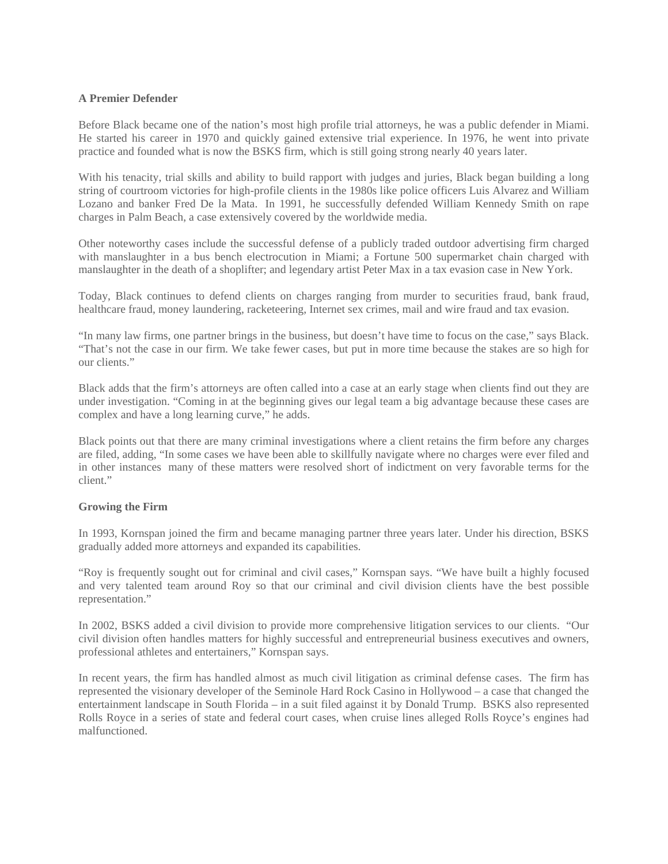## **A Premier Defender**

Before Black became one of the nation's most high profile trial attorneys, he was a public defender in Miami. He started his career in 1970 and quickly gained extensive trial experience. In 1976, he went into private practice and founded what is now the BSKS firm, which is still going strong nearly 40 years later.

With his tenacity, trial skills and ability to build rapport with judges and juries, Black began building a long string of courtroom victories for high-profile clients in the 1980s like police officers Luis Alvarez and William Lozano and banker Fred De la Mata. In 1991, he successfully defended William Kennedy Smith on rape charges in Palm Beach, a case extensively covered by the worldwide media.

Other noteworthy cases include the successful defense of a publicly traded outdoor advertising firm charged with manslaughter in a bus bench electrocution in Miami; a Fortune 500 supermarket chain charged with manslaughter in the death of a shoplifter; and legendary artist Peter Max in a tax evasion case in New York.

Today, Black continues to defend clients on charges ranging from murder to securities fraud, bank fraud, healthcare fraud, money laundering, racketeering, Internet sex crimes, mail and wire fraud and tax evasion.

"In many law firms, one partner brings in the business, but doesn't have time to focus on the case," says Black. "That's not the case in our firm. We take fewer cases, but put in more time because the stakes are so high for our clients."

Black adds that the firm's attorneys are often called into a case at an early stage when clients find out they are under investigation. "Coming in at the beginning gives our legal team a big advantage because these cases are complex and have a long learning curve," he adds.

Black points out that there are many criminal investigations where a client retains the firm before any charges are filed, adding, "In some cases we have been able to skillfully navigate where no charges were ever filed and in other instances many of these matters were resolved short of indictment on very favorable terms for the client."

## **Growing the Firm**

In 1993, Kornspan joined the firm and became managing partner three years later. Under his direction, BSKS gradually added more attorneys and expanded its capabilities.

"Roy is frequently sought out for criminal and civil cases," Kornspan says. "We have built a highly focused and very talented team around Roy so that our criminal and civil division clients have the best possible representation."

In 2002, BSKS added a civil division to provide more comprehensive litigation services to our clients. "Our civil division often handles matters for highly successful and entrepreneurial business executives and owners, professional athletes and entertainers," Kornspan says.

In recent years, the firm has handled almost as much civil litigation as criminal defense cases. The firm has represented the visionary developer of the Seminole Hard Rock Casino in Hollywood – a case that changed the entertainment landscape in South Florida – in a suit filed against it by Donald Trump. BSKS also represented Rolls Royce in a series of state and federal court cases, when cruise lines alleged Rolls Royce's engines had malfunctioned.